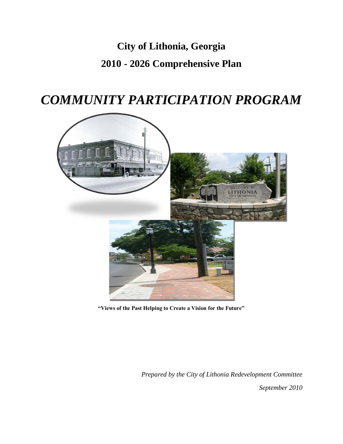# **City of Lithonia, Georgia 2010 - 2026 Comprehensive Plan**

# *COMMUNITY PARTICIPATION PROGRAM*



**"Views of the Past Helping to Create a Vision for the Future"**

*Prepared by the City of Lithonia Redevelopment Committee*

*September 2010*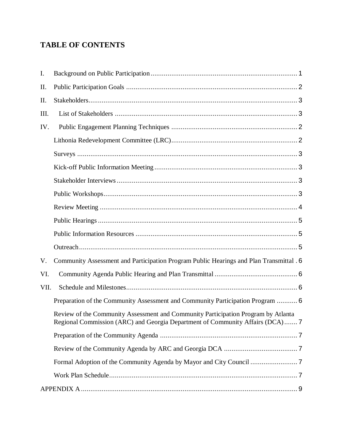## **TABLE OF CONTENTS**

| I.   |                                                                                                                                                                   |  |
|------|-------------------------------------------------------------------------------------------------------------------------------------------------------------------|--|
| II.  |                                                                                                                                                                   |  |
| II.  |                                                                                                                                                                   |  |
| III. |                                                                                                                                                                   |  |
| IV.  |                                                                                                                                                                   |  |
|      |                                                                                                                                                                   |  |
|      |                                                                                                                                                                   |  |
|      |                                                                                                                                                                   |  |
|      |                                                                                                                                                                   |  |
|      |                                                                                                                                                                   |  |
|      |                                                                                                                                                                   |  |
|      |                                                                                                                                                                   |  |
|      |                                                                                                                                                                   |  |
|      |                                                                                                                                                                   |  |
| V.   | Community Assessment and Participation Program Public Hearings and Plan Transmittal . 6                                                                           |  |
| VI.  |                                                                                                                                                                   |  |
| VII. |                                                                                                                                                                   |  |
|      | Preparation of the Community Assessment and Community Participation Program  6                                                                                    |  |
|      | Review of the Community Assessment and Community Participation Program by Atlanta<br>Regional Commission (ARC) and Georgia Department of Community Affairs (DCA)7 |  |
|      |                                                                                                                                                                   |  |
|      |                                                                                                                                                                   |  |
|      |                                                                                                                                                                   |  |
|      |                                                                                                                                                                   |  |
|      |                                                                                                                                                                   |  |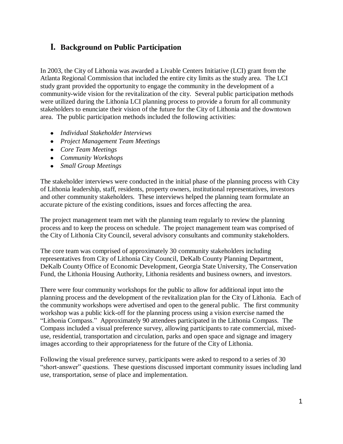## <span id="page-2-0"></span>**I. Background on Public Participation**

In 2003, the City of Lithonia was awarded a Livable Centers Initiative (LCI) grant from the Atlanta Regional Commission that included the entire city limits as the study area. The LCI study grant provided the opportunity to engage the community in the development of a community-wide vision for the revitalization of the city. Several public participation methods were utilized during the Lithonia LCI planning process to provide a forum for all community stakeholders to enunciate their vision of the future for the City of Lithonia and the downtown area. The public participation methods included the following activities:

- *Individual Stakeholder Interviews*
- *Project Management Team Meetings*
- *Core Team Meetings*
- *Community Workshops*
- *Small Group Meetings*

The stakeholder interviews were conducted in the initial phase of the planning process with City of Lithonia leadership, staff, residents, property owners, institutional representatives, investors and other community stakeholders. These interviews helped the planning team formulate an accurate picture of the existing conditions, issues and forces affecting the area.

The project management team met with the planning team regularly to review the planning process and to keep the process on schedule. The project management team was comprised of the City of Lithonia City Council, several advisory consultants and community stakeholders.

The core team was comprised of approximately 30 community stakeholders including representatives from City of Lithonia City Council, DeKalb County Planning Department, DeKalb County Office of Economic Development, Georgia State University, The Conservation Fund, the Lithonia Housing Authority, Lithonia residents and business owners, and investors.

There were four community workshops for the public to allow for additional input into the planning process and the development of the revitalization plan for the City of Lithonia. Each of the community workshops were advertised and open to the general public. The first community workshop was a public kick-off for the planning process using a vision exercise named the "Lithonia Compass." Approximately 90 attendees participated in the Lithonia Compass. The Compass included a visual preference survey, allowing participants to rate commercial, mixeduse, residential, transportation and circulation, parks and open space and signage and imagery images according to their appropriateness for the future of the City of Lithonia.

Following the visual preference survey, participants were asked to respond to a series of 30 "short-answer" questions. These questions discussed important community issues including land use, transportation, sense of place and implementation.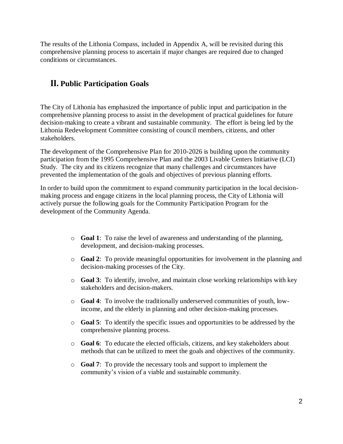The results of the Lithonia Compass, included in Appendix A, will be revisited during this comprehensive planning process to ascertain if major changes are required due to changed conditions or circumstances.

## <span id="page-3-0"></span>**II. Public Participation Goals**

The City of Lithonia has emphasized the importance of public input and participation in the comprehensive planning process to assist in the development of practical guidelines for future decision-making to create a vibrant and sustainable community. The effort is being led by the Lithonia Redevelopment Committee consisting of council members, citizens, and other stakeholders.

The development of the Comprehensive Plan for 2010-2026 is building upon the community participation from the 1995 Comprehensive Plan and the 2003 Livable Centers Initiative (LCI) Study. The city and its citizens recognize that many challenges and circumstances have prevented the implementation of the goals and objectives of previous planning efforts.

In order to build upon the commitment to expand community participation in the local decisionmaking process and engage citizens in the local planning process, the City of Lithonia will actively pursue the following goals for the Community Participation Program for the development of the Community Agenda.

- o **Goal 1**: To raise the level of awareness and understanding of the planning, development, and decision-making processes.
- o **Goal 2**: To provide meaningful opportunities for involvement in the planning and decision-making processes of the City.
- o **Goal 3**: To identify, involve, and maintain close working relationships with key stakeholders and decision-makers.
- o **Goal 4**: To involve the traditionally underserved communities of youth, lowincome, and the elderly in planning and other decision-making processes.
- o **Goal 5**: To identify the specific issues and opportunities to be addressed by the comprehensive planning process.
- o **Goal 6**: To educate the elected officials, citizens, and key stakeholders about methods that can be utilized to meet the goals and objectives of the community.
- o **Goal 7**: To provide the necessary tools and support to implement the community's vision of a viable and sustainable community.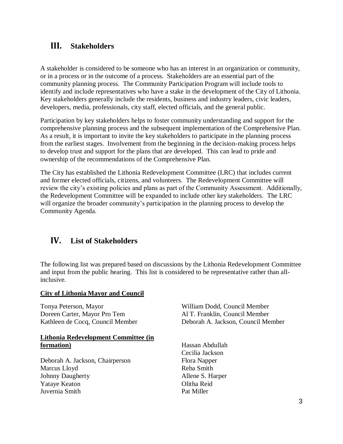## <span id="page-4-0"></span>**III. Stakeholders**

A stakeholder is considered to be someone who has an interest in an organization or community, or in a process or in the outcome of a process. Stakeholders are an essential part of the community planning process. The Community Participation Program will include tools to identify and include representatives who have a stake in the development of the City of Lithonia. Key stakeholders generally include the residents, business and industry leaders, civic leaders, developers, media, professionals, city staff, elected officials, and the general public.

Participation by key stakeholders helps to foster community understanding and support for the comprehensive planning process and the subsequent implementation of the Comprehensive Plan. As a result, it is important to invite the key stakeholders to participate in the planning process from the earliest stages. Involvement from the beginning in the decision-making process helps to develop trust and support for the plans that are developed. This can lead to pride and ownership of the recommendations of the Comprehensive Plan.

The City has established the Lithonia Redevelopment Committee (LRC) that includes current and former elected officials, citizens, and volunteers. The Redevelopment Committee will review the city's existing policies and plans as part of the Community Assessment. Additionally, the Redevelopment Committee will be expanded to include other key stakeholders. The LRC will organize the broader community's participation in the planning process to develop the Community Agenda.

## <span id="page-4-1"></span>**IV. List of Stakeholders**

The following list was prepared based on discussions by the Lithonia Redevelopment Committee and input from the public hearing. This list is considered to be representative rather than allinclusive.

## **City of Lithonia Mayor and Council**

Tonya Peterson, Mayor Doreen Carter, Mayor Pro Tem Kathleen de Cocq, Council Member

## **Lithonia Redevelopment Committee (in formation)**

Deborah A. Jackson, Chairperson Marcus Lloyd Johnny Daugherty Yataye Keaton Juvernia Smith

William Dodd, Council Member Al T. Franklin, Council Member Deborah A. Jackson, Council Member

Hassan Abdullah Cecilia Jackson Flora Napper Reba Smith Allene S. Harper Olitha Reid Pat Miller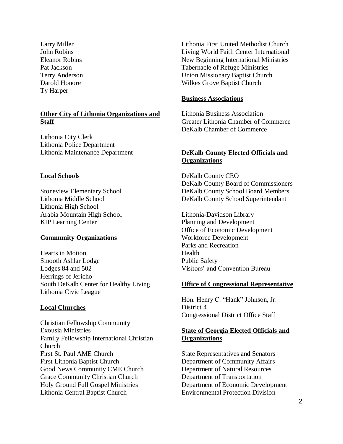Larry Miller John Robins Eleanor Robins Pat Jackson Terry Anderson Darold Honore Ty Harper

## **Other City of Lithonia Organizations and Staff**

Lithonia City Clerk Lithonia Police Department Lithonia Maintenance Department

## **Local Schools**

Stoneview Elementary School Lithonia Middle School Lithonia High School Arabia Mountain High School KIP Learning Center

## **Community Organizations**

Hearts in Motion Smooth Ashlar Lodge Lodges 84 and 502 Herrings of Jericho South DeKalb Center for Healthy Living Lithonia Civic League

## **Local Churches**

Christian Fellowship Community Exousia Ministries Family Fellowship International Christian Church First St. Paul AME Church First Lithonia Baptist Church Good News Community CME Church Grace Community Christian Church Holy Ground Full Gospel Ministries Lithonia Central Baptist Church

Lithonia First United Methodist Church Living World Faith Center International New Beginning International Ministries Tabernacle of Refuge Ministries Union Missionary Baptist Church Wilkes Grove Baptist Church

#### **Business Associations**

Lithonia Business Association Greater Lithonia Chamber of Commerce DeKalb Chamber of Commerce

## **DeKalb County Elected Officials and Organizations**

DeKalb County CEO DeKalb County Board of Commissioners DeKalb County School Board Members DeKalb County School Superintendant

Lithonia-Davidson Library Planning and Development Office of Economic Development Workforce Development Parks and Recreation Health Public Safety Visitors' and Convention Bureau

#### **Office of Congressional Representative**

Hon. Henry C. "Hank" Johnson, Jr. – District 4 Congressional District Office Staff

## **State of Georgia Elected Officials and Organizations**

State Representatives and Senators Department of Community Affairs Department of Natural Resources Department of Transportation Department of Economic Development Environmental Protection Division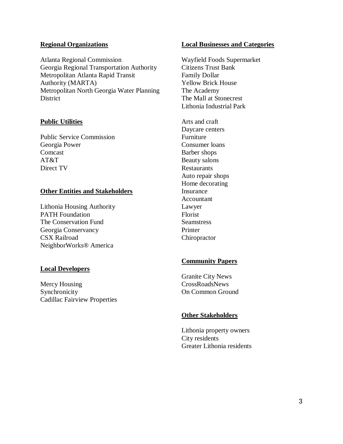## **Regional Organizations**

Atlanta Regional Commission Georgia Regional Transportation Authority Metropolitan Atlanta Rapid Transit Authority (MARTA) Metropolitan North Georgia Water Planning **District** 

## **Public Utilities**

Public Service Commission Georgia Power Comcast AT&T Direct TV

## **Other Entities and Stakeholders**

Lithonia Housing Authority PATH Foundation The Conservation Fund Georgia Conservancy CSX Railroad NeighborWorks® America

## **Local Developers**

Mercy Housing Synchronicity Cadillac Fairview Properties

#### **Local Businesses and Categories**

Wayfield Foods Supermarket Citizens Trust Bank Family Dollar Yellow Brick House The Academy The Mall at Stonecrest Lithonia Industrial Park

Arts and craft Daycare centers Furniture Consumer loans Barber shops Beauty salons Restaurants Auto repair shops Home decorating Insurance Accountant Lawyer Florist Seamstress Printer Chiropractor

## **Community Papers**

Granite City News CrossRoadsNews On Common Ground

## **Other Stakeholders**

Lithonia property owners City residents Greater Lithonia residents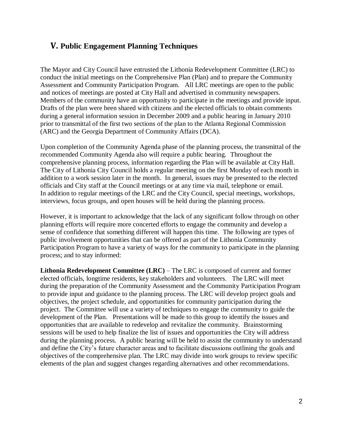## <span id="page-7-0"></span>**V. Public Engagement Planning Techniques**

The Mayor and City Council have entrusted the Lithonia Redevelopment Committee (LRC) to conduct the initial meetings on the Comprehensive Plan (Plan) and to prepare the Community Assessment and Community Participation Program. All LRC meetings are open to the public and notices of meetings are posted at City Hall and advertised in community newspapers. Members of the community have an opportunity to participate in the meetings and provide input. Drafts of the plan were been shared with citizens and the elected officials to obtain comments during a general information session in December 2009 and a public hearing in January 2010 prior to transmittal of the first two sections of the plan to the Atlanta Regional Commission (ARC) and the Georgia Department of Community Affairs (DCA).

Upon completion of the Community Agenda phase of the planning process, the transmittal of the recommended Community Agenda also will require a public hearing. Throughout the comprehensive planning process, information regarding the Plan will be available at City Hall. The City of Lithonia City Council holds a regular meeting on the first Monday of each month in addition to a work session later in the month. In general, issues may be presented to the elected officials and City staff at the Council meetings or at any time via mail, telephone or email. In addition to regular meetings of the LRC and the City Council, special meetings, workshops, interviews, focus groups, and open houses will be held during the planning process.

However, it is important to acknowledge that the lack of any significant follow through on other planning efforts will require more concerted efforts to engage the community and develop a sense of confidence that something different will happen this time. The following are types of public involvement opportunities that can be offered as part of the Lithonia Community Participation Program to have a variety of ways for the community to participate in the planning process; and to stay informed:

<span id="page-7-1"></span>**Lithonia Redevelopment Committee (LRC)** – The LRC is composed of current and former elected officials, longtime residents, key stakeholders and volunteers. The LRC will meet during the preparation of the Community Assessment and the Community Participation Program to provide input and guidance to the planning process. The LRC will develop project goals and objectives, the project schedule, and opportunities for community participation during the project. The Committee will use a variety of techniques to engage the community to guide the development of the Plan. Presentations will be made to this group to identify the issues and opportunities that are available to redevelop and revitalize the community. Brainstorming sessions will be used to help finalize the list of issues and opportunities the City will address during the planning process. A public hearing will be held to assist the community to understand and define the City's future character areas and to facilitate discussions outlining the goals and objectives of the comprehensive plan. The LRC may divide into work groups to review specific elements of the plan and suggest changes regarding alternatives and other recommendations.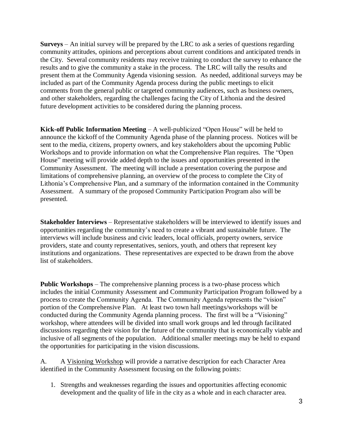<span id="page-8-0"></span>**Surveys** – An initial survey will be prepared by the LRC to ask a series of questions regarding community attitudes, opinions and perceptions about current conditions and anticipated trends in the City. Several community residents may receive training to conduct the survey to enhance the results and to give the community a stake in the process. The LRC will tally the results and present them at the Community Agenda visioning session. As needed, additional surveys may be included as part of the Community Agenda process during the public meetings to elicit comments from the general public or targeted community audiences, such as business owners, and other stakeholders, regarding the challenges facing the City of Lithonia and the desired future development activities to be considered during the planning process.

<span id="page-8-1"></span>**Kick-off Public Information Meeting** – A well-publicized "Open House" will be held to announce the kickoff of the Community Agenda phase of the planning process. Notices will be sent to the media, citizens, property owners, and key stakeholders about the upcoming Public Workshops and to provide information on what the Comprehensive Plan requires. The "Open House" meeting will provide added depth to the issues and opportunities presented in the Community Assessment. The meeting will include a presentation covering the purpose and limitations of comprehensive planning, an overview of the process to complete the City of Lithonia's Comprehensive Plan, and a summary of the information contained in the Community Assessment. A summary of the proposed Community Participation Program also will be presented.

<span id="page-8-2"></span>**Stakeholder Interviews** – Representative stakeholders will be interviewed to identify issues and opportunities regarding the community's need to create a vibrant and sustainable future. The interviews will include business and civic leaders, local officials, property owners, service providers, state and county representatives, seniors, youth, and others that represent key institutions and organizations. These representatives are expected to be drawn from the above list of stakeholders.

<span id="page-8-3"></span>**Public Workshops** – The comprehensive planning process is a two-phase process which includes the initial Community Assessment and Community Participation Program followed by a process to create the Community Agenda. The Community Agenda represents the "vision" portion of the Comprehensive Plan. At least two town hall meetings/workshops will be conducted during the Community Agenda planning process. The first will be a "Visioning" workshop, where attendees will be divided into small work groups and led through facilitated discussions regarding their vision for the future of the community that is economically viable and inclusive of all segments of the population. Additional smaller meetings may be held to expand the opportunities for participating in the vision discussions.

A. A Visioning Workshop will provide a narrative description for each Character Area identified in the Community Assessment focusing on the following points:

1. Strengths and weaknesses regarding the issues and opportunities affecting economic development and the quality of life in the city as a whole and in each character area.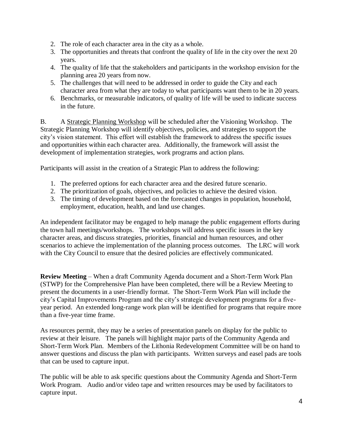- 2. The role of each character area in the city as a whole.
- 3. The opportunities and threats that confront the quality of life in the city over the next 20 years.
- 4. The quality of life that the stakeholders and participants in the workshop envision for the planning area 20 years from now.
- 5. The challenges that will need to be addressed in order to guide the City and each character area from what they are today to what participants want them to be in 20 years.
- 6. Benchmarks, or measurable indicators, of quality of life will be used to indicate success in the future.

B. A Strategic Planning Workshop will be scheduled after the Visioning Workshop. The Strategic Planning Workshop will identify objectives, policies, and strategies to support the city's vision statement. This effort will establish the framework to address the specific issues and opportunities within each character area. Additionally, the framework will assist the development of implementation strategies, work programs and action plans.

Participants will assist in the creation of a Strategic Plan to address the following:

- 1. The preferred options for each character area and the desired future scenario.
- 2. The prioritization of goals, objectives, and policies to achieve the desired vision.
- 3. The timing of development based on the forecasted changes in population, household, employment, education, health, and land use changes.

An independent facilitator may be engaged to help manage the public engagement efforts during the town hall meetings/workshops. The workshops will address specific issues in the key character areas, and discuss strategies, priorities, financial and human resources, and other scenarios to achieve the implementation of the planning process outcomes. The LRC will work with the City Council to ensure that the desired policies are effectively communicated.

<span id="page-9-0"></span>**Review Meeting** – When a draft Community Agenda document and a Short-Term Work Plan (STWP) for the Comprehensive Plan have been completed, there will be a Review Meeting to present the documents in a user-friendly format. The Short-Term Work Plan will include the city's Capital Improvements Program and the city's strategic development programs for a fiveyear period. An extended long-range work plan will be identified for programs that require more than a five-year time frame.

As resources permit, they may be a series of presentation panels on display for the public to review at their leisure. The panels will highlight major parts of the Community Agenda and Short-Term Work Plan. Members of the Lithonia Redevelopment Committee will be on hand to answer questions and discuss the plan with participants. Written surveys and easel pads are tools that can be used to capture input.

The public will be able to ask specific questions about the Community Agenda and Short-Term Work Program. Audio and/or video tape and written resources may be used by facilitators to capture input.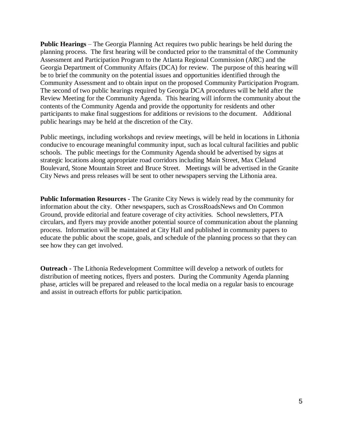<span id="page-10-0"></span>**Public Hearings** – The Georgia Planning Act requires two public hearings be held during the planning process. The first hearing will be conducted prior to the transmittal of the Community Assessment and Participation Program to the Atlanta Regional Commission (ARC) and the Georgia Department of Community Affairs (DCA) for review. The purpose of this hearing will be to brief the community on the potential issues and opportunities identified through the Community Assessment and to obtain input on the proposed Community Participation Program. The second of two public hearings required by Georgia DCA procedures will be held after the Review Meeting for the Community Agenda. This hearing will inform the community about the contents of the Community Agenda and provide the opportunity for residents and other participants to make final suggestions for additions or revisions to the document. Additional public hearings may be held at the discretion of the City.

Public meetings, including workshops and review meetings, will be held in locations in Lithonia conducive to encourage meaningful community input, such as local cultural facilities and public schools. The public meetings for the Community Agenda should be advertised by signs at strategic locations along appropriate road corridors including Main Street, Max Cleland Boulevard, Stone Mountain Street and Bruce Street. Meetings will be advertised in the Granite City News and press releases will be sent to other newspapers serving the Lithonia area.

<span id="page-10-1"></span>**Public Information Resources -** The Granite City News is widely read by the community for information about the city. Other newspapers, such as CrossRoadsNews and On Common Ground, provide editorial and feature coverage of city activities. School newsletters, PTA circulars, and flyers may provide another potential source of communication about the planning process. Information will be maintained at City Hall and published in community papers to educate the public about the scope, goals, and schedule of the planning process so that they can see how they can get involved.

<span id="page-10-2"></span>**Outreach -** The Lithonia Redevelopment Committee will develop a network of outlets for distribution of meeting notices, flyers and posters. During the Community Agenda planning phase, articles will be prepared and released to the local media on a regular basis to encourage and assist in outreach efforts for public participation.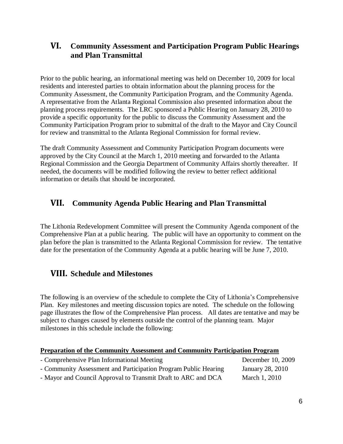## <span id="page-11-0"></span>**VI. Community Assessment and Participation Program Public Hearings and Plan Transmittal**

Prior to the public hearing, an informational meeting was held on December 10, 2009 for local residents and interested parties to obtain information about the planning process for the Community Assessment, the Community Participation Program, and the Community Agenda. A representative from the Atlanta Regional Commission also presented information about the planning process requirements. The LRC sponsored a Public Hearing on January 28, 2010 to provide a specific opportunity for the public to discuss the Community Assessment and the Community Participation Program prior to submittal of the draft to the Mayor and City Council for review and transmittal to the Atlanta Regional Commission for formal review.

The draft Community Assessment and Community Participation Program documents were approved by the City Council at the March 1, 2010 meeting and forwarded to the Atlanta Regional Commission and the Georgia Department of Community Affairs shortly thereafter. If needed, the documents will be modified following the review to better reflect additional information or details that should be incorporated.

## <span id="page-11-1"></span>**VII. Community Agenda Public Hearing and Plan Transmittal**

The Lithonia Redevelopment Committee will present the Community Agenda component of the Comprehensive Plan at a public hearing. The public will have an opportunity to comment on the plan before the plan is transmitted to the Atlanta Regional Commission for review. The tentative date for the presentation of the Community Agenda at a public hearing will be June 7, 2010.

## <span id="page-11-2"></span>**VIII. Schedule and Milestones**

The following is an overview of the schedule to complete the City of Lithonia's Comprehensive Plan. Key milestones and meeting discussion topics are noted. The schedule on the following page illustrates the flow of the Comprehensive Plan process. All dates are tentative and may be subject to changes caused by elements outside the control of the planning team. Major milestones in this schedule include the following:

<span id="page-11-3"></span>

| <b>Preparation of the Community Assessment and Community Participation Program</b> |                   |
|------------------------------------------------------------------------------------|-------------------|
| - Comprehensive Plan Informational Meeting                                         | December 10, 2009 |
| - Community Assessment and Participation Program Public Hearing                    | January 28, 2010  |
| - Mayor and Council Approval to Transmit Draft to ARC and DCA                      | March 1, 2010     |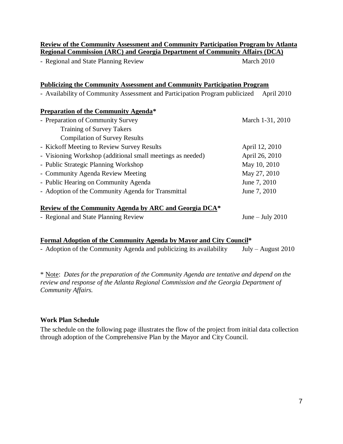<span id="page-12-1"></span><span id="page-12-0"></span>

| <b>Review of the Community Assessment and Community Participation Program by Atlanta</b><br><b>Regional Commission (ARC) and Georgia Department of Community Affairs (DCA)</b> |                    |  |  |  |
|--------------------------------------------------------------------------------------------------------------------------------------------------------------------------------|--------------------|--|--|--|
| - Regional and State Planning Review                                                                                                                                           | March 2010         |  |  |  |
|                                                                                                                                                                                |                    |  |  |  |
| <u>Publicizing the Community Assessment and Community Participation Program</u>                                                                                                |                    |  |  |  |
| - Availability of Community Assessment and Participation Program publicized                                                                                                    | April 2010         |  |  |  |
| <b>Preparation of the Community Agenda*</b>                                                                                                                                    |                    |  |  |  |
| - Preparation of Community Survey                                                                                                                                              | March 1-31, 2010   |  |  |  |
| <b>Training of Survey Takers</b>                                                                                                                                               |                    |  |  |  |
| <b>Compilation of Survey Results</b>                                                                                                                                           |                    |  |  |  |
| - Kickoff Meeting to Review Survey Results                                                                                                                                     | April 12, 2010     |  |  |  |
| - Visioning Workshop (additional small meetings as needed)                                                                                                                     | April 26, 2010     |  |  |  |
| - Public Strategic Planning Workshop                                                                                                                                           | May 10, 2010       |  |  |  |
| - Community Agenda Review Meeting                                                                                                                                              | May 27, 2010       |  |  |  |
| - Public Hearing on Community Agenda                                                                                                                                           | June 7, 2010       |  |  |  |
| - Adoption of the Community Agenda for Transmittal                                                                                                                             | June 7, 2010       |  |  |  |
| Review of the Community Agenda by ARC and Georgia DCA*                                                                                                                         |                    |  |  |  |
| - Regional and State Planning Review                                                                                                                                           | June $-$ July 2010 |  |  |  |

## <span id="page-12-3"></span><span id="page-12-2"></span>**Formal Adoption of the Community Agenda by Mayor and City Council\***

- Adoption of the Community Agenda and publicizing its availability July – August 2010

\* Note: *Dates for the preparation of the Community Agenda are tentative and depend on the review and response of the Atlanta Regional Commission and the Georgia Department of Community Affairs.*

## <span id="page-12-4"></span>**Work Plan Schedule**

The schedule on the following page illustrates the flow of the project from initial data collection through adoption of the Comprehensive Plan by the Mayor and City Council.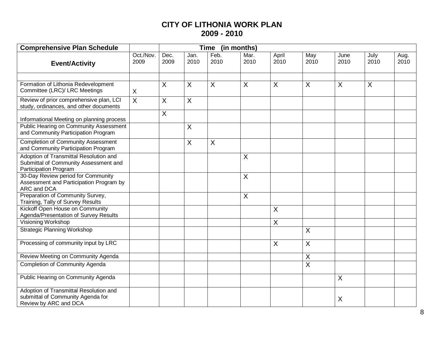## **CITY OF LITHONIA WORK PLAN 2009 - 2010**

| <b>Comprehensive Plan Schedule</b><br><b>Time</b><br>(in months)                                         |                   |                |              |                |                |                         |                |              |                |              |
|----------------------------------------------------------------------------------------------------------|-------------------|----------------|--------------|----------------|----------------|-------------------------|----------------|--------------|----------------|--------------|
| <b>Event/Activity</b>                                                                                    | Oct./Nov.<br>2009 | Dec.<br>2009   | Jan.<br>2010 | Feb.<br>2010   | Mar.<br>2010   | April<br>2010           | May<br>2010    | June<br>2010 | July<br>2010   | Aug.<br>2010 |
|                                                                                                          |                   |                |              |                |                |                         |                |              |                |              |
| Formation of Lithonia Redevelopment<br>Committee (LRC)/ LRC Meetings                                     | $\mathsf{X}$      | $\overline{X}$ | X            | $\overline{X}$ | X              | $\overline{\mathsf{x}}$ | X              | X            | $\overline{X}$ |              |
| Review of prior comprehensive plan, LCI<br>study, ordinances, and other documents                        | $\overline{X}$    | $\sf X$        | X            |                |                |                         |                |              |                |              |
| Informational Meeting on planning process                                                                |                   | $\sf X$        |              |                |                |                         |                |              |                |              |
| <b>Public Hearing on Community Assessment</b><br>and Community Participation Program                     |                   |                | X            |                |                |                         |                |              |                |              |
| <b>Completion of Community Assessment</b><br>and Community Participation Program                         |                   |                | X            | X              |                |                         |                |              |                |              |
| Adoption of Transmittal Resolution and<br>Submittal of Community Assessment and<br>Participation Program |                   |                |              |                | X              |                         |                |              |                |              |
| 30-Day Review period for Community<br>Assessment and Participation Program by<br>ARC and DCA             |                   |                |              |                | $\overline{X}$ |                         |                |              |                |              |
| Preparation of Community Survey,<br>Training, Tally of Survey Results                                    |                   |                |              |                | $\sf X$        |                         |                |              |                |              |
| Kickoff Open House on Community<br>Agenda/Presentation of Survey Results                                 |                   |                |              |                |                | $\sf X$                 |                |              |                |              |
| Visioning Workshop                                                                                       |                   |                |              |                |                | $\sf X$                 |                |              |                |              |
| <b>Strategic Planning Workshop</b>                                                                       |                   |                |              |                |                |                         | X              |              |                |              |
| Processing of community input by LRC                                                                     |                   |                |              |                |                | $\sf X$                 | X              |              |                |              |
| Review Meeting on Community Agenda                                                                       |                   |                |              |                |                |                         | $\overline{X}$ |              |                |              |
| Completion of Community Agenda                                                                           |                   |                |              |                |                |                         | $\sf X$        |              |                |              |
| Public Hearing on Community Agenda                                                                       |                   |                |              |                |                |                         |                | X            |                |              |
| Adoption of Transmittal Resolution and<br>submittal of Community Agenda for<br>Review by ARC and DCA     |                   |                |              |                |                |                         |                | X            |                |              |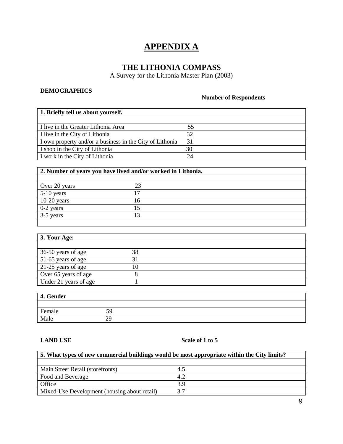## **APPENDIX A**

## **THE LITHONIA COMPASS**

A Survey for the Lithonia Master Plan (2003)

## <span id="page-14-0"></span>**DEMOGRAPHICS**

## **Number of Respondents**

| 1. Briefly tell us about yourself.                       |    |
|----------------------------------------------------------|----|
|                                                          |    |
| I live in the Greater Lithonia Area                      | 55 |
| I live in the City of Lithonia                           | 32 |
| I own property and/or a business in the City of Lithonia | 31 |
| I shop in the City of Lithonia                           | 30 |
| I work in the City of Lithonia                           | 24 |

## **2. Number of years you have lived and/or worked in Lithonia.**

| Over 20 years |   |  |
|---------------|---|--|
| $5-10$ years  |   |  |
| $10-20$ years | h |  |
| $0-2$ years   |   |  |
| $3-5$ years   |   |  |
|               |   |  |

| 3. Your Age:          |    |  |
|-----------------------|----|--|
|                       |    |  |
| 36-50 years of age    | 38 |  |
| 51-65 years of age    |    |  |
| 21-25 years of age    | 10 |  |
| Over 65 years of age  |    |  |
| Under 21 years of age |    |  |

| 4. Gender |    |  |
|-----------|----|--|
|           |    |  |
| Female    |    |  |
| Male      | 29 |  |

#### **LAND USE Scale of 1 to 5**

| 5. What types of new commercial buildings would be most appropriate within the City limits? |     |  |  |  |
|---------------------------------------------------------------------------------------------|-----|--|--|--|
|                                                                                             |     |  |  |  |
| Main Street Retail (storefronts)                                                            | 4.5 |  |  |  |
| Food and Beverage                                                                           | 4.2 |  |  |  |
| Office                                                                                      | 3.9 |  |  |  |
| Mixed-Use Development (housing about retail)                                                | 37  |  |  |  |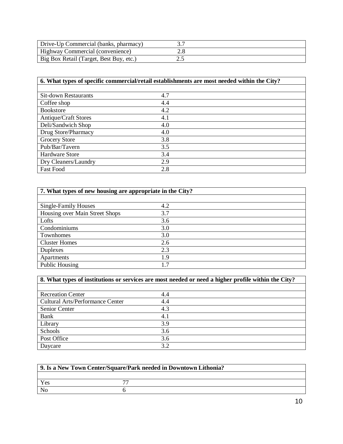| Drive-Up Commercial (banks, pharmacy)   |  |
|-----------------------------------------|--|
| <b>Highway Commercial (convenience)</b> |  |
| Big Box Retail (Target, Best Buy, etc.) |  |

## **6. What types of specific commercial/retail establishments are most needed within the City?**

| <b>Sit-down Restaurants</b> | 4.7 |
|-----------------------------|-----|
| Coffee shop                 | 4.4 |
| <b>Bookstore</b>            | 4.2 |
| <b>Antique/Craft Stores</b> | 4.1 |
| Deli/Sandwich Shop          | 4.0 |
| Drug Store/Pharmacy         | 4.0 |
| <b>Grocery Store</b>        | 3.8 |
| Pub/Bar/Tavern              | 3.5 |
| Hardware Store              | 3.4 |
| Dry Cleaners/Laundry        | 2.9 |
| <b>Fast Food</b>            | 2.8 |

| 7. What types of new housing are appropriate in the City? |     |  |  |
|-----------------------------------------------------------|-----|--|--|
|                                                           |     |  |  |
| Single-Family Houses                                      | 4.2 |  |  |
| Housing over Main Street Shops                            | 3.7 |  |  |
| Lofts                                                     | 3.6 |  |  |
| Condominiums                                              | 3.0 |  |  |
| Townhomes                                                 | 3.0 |  |  |
| <b>Cluster Homes</b>                                      | 2.6 |  |  |
| Duplexes                                                  | 2.3 |  |  |
| Apartments                                                | 1.9 |  |  |
| Public Housing                                            | 1.7 |  |  |

| 8. What types of institutions or services are most needed or need a higher profile within the City? |     |
|-----------------------------------------------------------------------------------------------------|-----|
|                                                                                                     |     |
| <b>Recreation Center</b>                                                                            | 4.4 |
| <b>Cultural Arts/Performance Center</b>                                                             | 4.4 |
| Senior Center                                                                                       | 4.3 |
| Bank                                                                                                | 4.1 |
| Library                                                                                             | 3.9 |
| Schools                                                                                             | 3.6 |
| Post Office                                                                                         | 3.6 |
| Daycare                                                                                             | 3.2 |

| 9. Is a New Town Center/Square/Park needed in Downtown Lithonia? |  |  |
|------------------------------------------------------------------|--|--|
|                                                                  |  |  |
| Yes                                                              |  |  |
| No                                                               |  |  |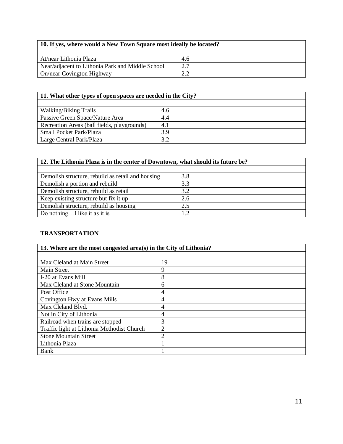| 10. If yes, where would a New Town Square most ideally be located? |     |
|--------------------------------------------------------------------|-----|
|                                                                    |     |
| At/near Lithonia Plaza                                             | 4.6 |
| Near/adjacent to Lithonia Park and Middle School                   |     |
| On/near Covington Highway                                          |     |

| 11. What other types of open spaces are needed in the City? |     |
|-------------------------------------------------------------|-----|
|                                                             |     |
| Walking/Biking Trails                                       | 4.6 |
| Passive Green Space/Nature Area                             | 4.4 |
| Recreation Areas (ball fields, playgrounds)                 | 4.1 |
| <b>Small Pocket Park/Plaza</b>                              | 39  |
| Large Central Park/Plaza                                    | 2 J |

| 12. The Lithonia Plaza is in the center of Downtown, what should its future be? |     |  |
|---------------------------------------------------------------------------------|-----|--|
|                                                                                 |     |  |
| Demolish structure, rebuild as retail and housing                               | 3.8 |  |
| Demolish a portion and rebuild                                                  | 3.3 |  |
| Demolish structure, rebuild as retail                                           | 3.2 |  |
| Keep existing structure but fix it up                                           | 2.6 |  |
| Demolish structure, rebuild as housing                                          | 2.5 |  |
| Do nothingI like it as it is                                                    |     |  |

## **TRANSPORTATION**

| 13. Where are the most congested area(s) in the City of Lithonia? |                |
|-------------------------------------------------------------------|----------------|
|                                                                   |                |
| Max Cleland at Main Street                                        | 19             |
| Main Street                                                       | 9              |
| I-20 at Evans Mill                                                | 8              |
| Max Cleland at Stone Mountain                                     | 6              |
| Post Office                                                       | 4              |
| Covington Hwy at Evans Mills                                      |                |
| Max Cleland Blyd.                                                 | $\overline{4}$ |
| Not in City of Lithonia                                           |                |
| Railroad when trains are stopped                                  | 3              |
| Traffic light at Lithonia Methodist Church                        | $\mathfrak{D}$ |
| <b>Stone Mountain Street</b>                                      |                |
| Lithonia Plaza                                                    |                |
| Bank                                                              |                |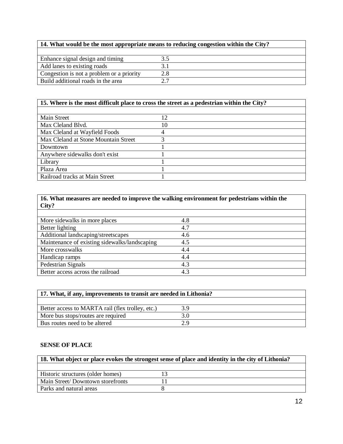| 14. What would be the most appropriate means to reducing congestion within the City? |     |
|--------------------------------------------------------------------------------------|-----|
|                                                                                      |     |
| Enhance signal design and timing                                                     |     |
| Add lanes to existing roads                                                          |     |
| Congestion is not a problem or a priority                                            | 2.8 |
| Build additional roads in the area                                                   |     |

## **15. Where is the most difficult place to cross the street as a pedestrian within the City?**

| Main Street                          |    |
|--------------------------------------|----|
| Max Cleland Blyd.                    | 10 |
| Max Cleland at Wayfield Foods        |    |
| Max Cleland at Stone Mountain Street |    |
| Downtown                             |    |
| Anywhere sidewalks don't exist       |    |
| Library                              |    |
| Plaza Area                           |    |
| Railroad tracks at Main Street       |    |

| 16. What measures are needed to improve the walking environment for pedestrians within the |     |
|--------------------------------------------------------------------------------------------|-----|
| City?                                                                                      |     |
|                                                                                            |     |
| More sidewalks in more places                                                              | 4.8 |
| Better lighting                                                                            | 4.7 |
| Additional landscaping/streetscapes                                                        | 4.6 |
| Maintenance of existing sidewalks/landscaping                                              | 4.5 |
| More crosswalks                                                                            | 4.4 |
| Handicap ramps                                                                             | 4.4 |
| Pedestrian Signals                                                                         | 4.3 |
| Better access across the railroad                                                          | 4.3 |

| 17. What, if any, improvements to transit are needed in Lithonia? |  |
|-------------------------------------------------------------------|--|
|                                                                   |  |
| Better access to MARTA rail (flex trolley, etc.)                  |  |
| More bus stops/routes are required                                |  |
| Bus routes need to be altered                                     |  |

## **SENSE OF PLACE**

| 18. What object or place evokes the strongest sense of place and identity in the city of Lithonia? |  |  |
|----------------------------------------------------------------------------------------------------|--|--|
|                                                                                                    |  |  |
| Historic structures (older homes)                                                                  |  |  |
| Main Street/Downtown storefronts                                                                   |  |  |
| Parks and natural areas                                                                            |  |  |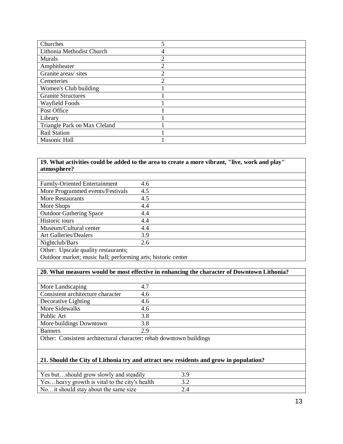| Churches                     |   |
|------------------------------|---|
| Lithonia Methodist Church    | 4 |
| Murals                       | ↑ |
| Amphitheater                 | ↑ |
| Granite areas/ sites         | 2 |
| Cemeteries                   | ◠ |
| Women's Club building        |   |
| <b>Granite Structures</b>    |   |
| Wayfield Foods               |   |
| Post Office                  |   |
| Library                      |   |
| Triangle Park on Max Cleland |   |
| <b>Rail Station</b>          |   |
| Masonic Hall                 |   |

## **19. What activities could be added to the area to create a more vibrant, "live, work and play" atmosphere?**

| <b>Family-Oriented Entertainment</b> | 4.6 |
|--------------------------------------|-----|
| More Programmed events/Festivals     | 4.5 |
| <b>More Restaurants</b>              | 4.5 |
| More Shops                           | 4.4 |
| <b>Outdoor Gathering Space</b>       | 4.4 |
| Historic tours                       | 4.4 |
| Museum/Cultural center               | 4.4 |
| <b>Art Galleries/Dealers</b>         | 3.9 |
| Nightclub/Bars                       | 2.6 |
| Other: Upscale quality restaurants;  |     |

Outdoor market; music hall; performing arts; historic center

## **20. What measures would be most effective in enhancing the character of Downtown Lithonia?**

| More Landscaping                  | 4.7 |
|-----------------------------------|-----|
| Consistent architecture character | 4.6 |
| Decorative Lighting               | 4.6 |
| More Sidewalks                    | 4.6 |
| Public Art                        | 3.8 |
| More buildings Downtown           | 3.8 |
| <b>Banners</b>                    | 2.9 |

Other: Consistent architectural character; rehab downtown buildings

#### **21. Should the City of Lithonia try and attract new residents and grow in population?**

| Yes butshould grow slowly and steadily        |  |
|-----------------------------------------------|--|
| Yesheavy growth is vital to the city's health |  |
| No, it should stay about the same size        |  |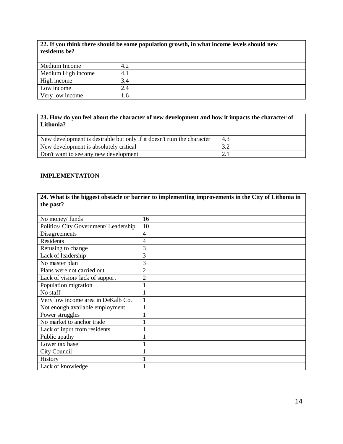| 22. If you think there should be some population growth, in what income levels should new |
|-------------------------------------------------------------------------------------------|
| residents be?                                                                             |

| Medium Income      | ┱.∠ |  |
|--------------------|-----|--|
| Medium High income |     |  |
| High income        |     |  |
| Low income         |     |  |
| Very low income    | .b  |  |

**23. How do you feel about the character of new development and how it impacts the character of Lithonia?**

| New development is desirable but only if it doesn't ruin the character |  |
|------------------------------------------------------------------------|--|
| New development is absolutely critical                                 |  |
| Don't want to see any new development                                  |  |

## **IMPLEMENTATION**

| 24. What is the biggest obstacle or barrier to implementing improvements in the City of Lithonia in |                |  |
|-----------------------------------------------------------------------------------------------------|----------------|--|
| the past?                                                                                           |                |  |
|                                                                                                     |                |  |
| No money/ funds                                                                                     | 16             |  |
| Politics/ City Government/ Leadership                                                               | 10             |  |
| Disagreements                                                                                       | 4              |  |
| <b>Residents</b>                                                                                    | 4              |  |
| Refusing to change                                                                                  | 3              |  |
| Lack of leadership                                                                                  | 3              |  |
| No master plan                                                                                      | 3              |  |
| Plans were not carried out                                                                          | $\overline{2}$ |  |
| Lack of vision/lack of support                                                                      | $\overline{2}$ |  |
| Population migration                                                                                |                |  |
| No staff                                                                                            |                |  |
| Very low income area in DeKalb Co.                                                                  |                |  |
| Not enough available employment                                                                     |                |  |
| Power struggles                                                                                     |                |  |
| No market to anchor trade                                                                           |                |  |
| Lack of input from residents                                                                        |                |  |
| Public apathy                                                                                       |                |  |
| Lower tax base                                                                                      |                |  |
| City Council                                                                                        |                |  |
| History                                                                                             |                |  |
| Lack of knowledge                                                                                   |                |  |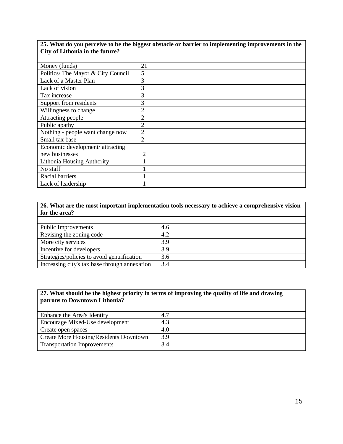| 25. What do you perceive to be the biggest obstacle or barrier to implementing improvements in the |                |  |
|----------------------------------------------------------------------------------------------------|----------------|--|
| City of Lithonia in the future?                                                                    |                |  |
|                                                                                                    |                |  |
| Money (funds)                                                                                      | 21             |  |
| Politics/ The Mayor & City Council                                                                 | 5              |  |
| Lack of a Master Plan                                                                              | 3              |  |
| Lack of vision                                                                                     | 3              |  |
| Tax increase                                                                                       | 3              |  |
| Support from residents                                                                             | 3              |  |
| Willingness to change                                                                              |                |  |
| Attracting people                                                                                  | 2              |  |
| Public apathy                                                                                      | 2              |  |
| Nothing - people want change now                                                                   | $\overline{2}$ |  |
| Small tax base                                                                                     | $\mathfrak{D}$ |  |
| Economic development/ attracting                                                                   |                |  |
| new businesses                                                                                     | 2              |  |
| Lithonia Housing Authority                                                                         |                |  |
| No staff                                                                                           |                |  |
| Racial barriers                                                                                    |                |  |
| Lack of leadership                                                                                 |                |  |

## **26. What are the most important implementation tools necessary to achieve a comprehensive vision for the area?**

| <b>Public Improvements</b>                    | 4.6 |
|-----------------------------------------------|-----|
| Revising the zoning code                      | 4.2 |
| More city services                            | 3.9 |
| Incentive for developers                      | 3 Q |
| Strategies/policies to avoid gentrification   | 3.6 |
| Increasing city's tax base through annexation | 3.4 |

## **27. What should be the highest priority in terms of improving the quality of life and drawing patrons to Downtown Lithonia?**

| Enhance the Area's Identity            |     |
|----------------------------------------|-----|
| Encourage Mixed-Use development        |     |
| Create open spaces                     | 4.O |
| Create More Housing/Residents Downtown | 3.9 |
| <b>Transportation Improvements</b>     |     |